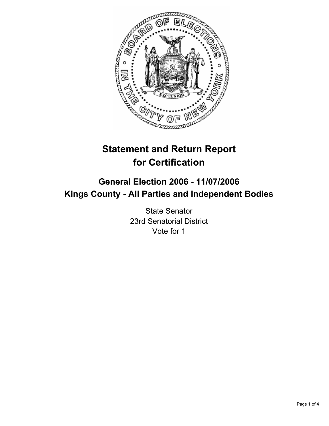

# **Statement and Return Report for Certification**

## **General Election 2006 - 11/07/2006 Kings County - All Parties and Independent Bodies**

State Senator 23rd Senatorial District Vote for 1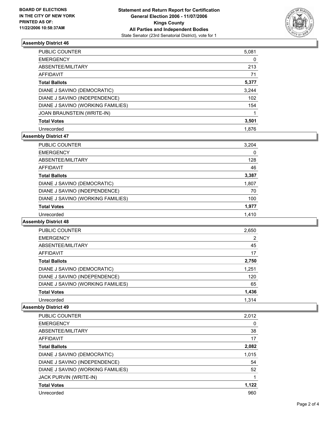

### **Assembly District 46**

| <b>PUBLIC COUNTER</b>             | 5,081 |
|-----------------------------------|-------|
| <b>EMERGENCY</b>                  | 0     |
| ABSENTEE/MILITARY                 | 213   |
| AFFIDAVIT                         | 71    |
| <b>Total Ballots</b>              | 5,377 |
| DIANE J SAVINO (DEMOCRATIC)       | 3,244 |
| DIANE J SAVINO (INDEPENDENCE)     | 102   |
| DIANE J SAVINO (WORKING FAMILIES) | 154   |
| JOAN BRAUNSTEIN (WRITE-IN)        |       |
| <b>Total Votes</b>                | 3,501 |
| Unrecorded                        | 1.876 |

## **Assembly District 47**

| PUBLIC COUNTER                    | 3,204 |
|-----------------------------------|-------|
| <b>EMERGENCY</b>                  | 0     |
| ABSENTEE/MILITARY                 | 128   |
| AFFIDAVIT                         | 46    |
| <b>Total Ballots</b>              | 3,387 |
| DIANE J SAVINO (DEMOCRATIC)       | 1,807 |
| DIANE J SAVINO (INDEPENDENCE)     | 70    |
| DIANE J SAVINO (WORKING FAMILIES) | 100   |
| <b>Total Votes</b>                | 1,977 |
| Unrecorded                        | 1,410 |

## **Assembly District 48**

| PUBLIC COUNTER                    | 2,650 |  |
|-----------------------------------|-------|--|
| <b>EMERGENCY</b>                  | 2     |  |
| ABSENTEE/MILITARY                 | 45    |  |
| <b>AFFIDAVIT</b>                  | 17    |  |
| <b>Total Ballots</b>              | 2,750 |  |
| DIANE J SAVINO (DEMOCRATIC)       | 1,251 |  |
| DIANE J SAVINO (INDEPENDENCE)     | 120   |  |
| DIANE J SAVINO (WORKING FAMILIES) | 65    |  |
| <b>Total Votes</b>                | 1,436 |  |
| Unrecorded                        | 1.314 |  |

#### **Assembly District 49**

| <b>PUBLIC COUNTER</b>             | 2,012 |
|-----------------------------------|-------|
| <b>EMERGENCY</b>                  | 0     |
| ABSENTEE/MILITARY                 | 38    |
| AFFIDAVIT                         | 17    |
| <b>Total Ballots</b>              | 2,082 |
| DIANE J SAVINO (DEMOCRATIC)       | 1,015 |
| DIANE J SAVINO (INDEPENDENCE)     | 54    |
| DIANE J SAVINO (WORKING FAMILIES) | 52    |
| JACK PURVIN (WRITE-IN)            |       |
| <b>Total Votes</b>                | 1,122 |
| Unrecorded                        | 960   |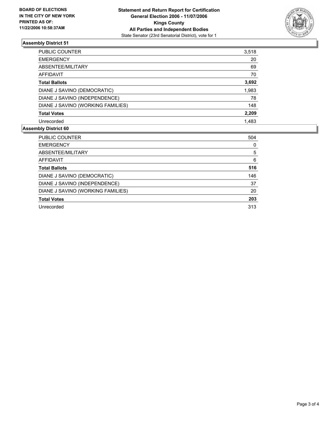

## **Assembly District 51**

| PUBLIC COUNTER                    | 3,518 |
|-----------------------------------|-------|
| <b>EMERGENCY</b>                  | 20    |
| ABSENTEE/MILITARY                 | 69    |
| <b>AFFIDAVIT</b>                  | 70    |
| <b>Total Ballots</b>              | 3,692 |
| DIANE J SAVINO (DEMOCRATIC)       | 1,983 |
| DIANE J SAVINO (INDEPENDENCE)     | 78    |
| DIANE J SAVINO (WORKING FAMILIES) | 148   |
| <b>Total Votes</b>                | 2,209 |
| Unrecorded                        | 1,483 |
|                                   |       |

### **Assembly District 60**

| <b>PUBLIC COUNTER</b>             | 504 |
|-----------------------------------|-----|
| <b>EMERGENCY</b>                  | 0   |
| ABSENTEE/MILITARY                 | 5   |
| AFFIDAVIT                         | 6   |
| <b>Total Ballots</b>              | 516 |
| DIANE J SAVINO (DEMOCRATIC)       | 146 |
| DIANE J SAVINO (INDEPENDENCE)     | 37  |
| DIANE J SAVINO (WORKING FAMILIES) | 20  |
| <b>Total Votes</b>                | 203 |
| Unrecorded                        | 313 |